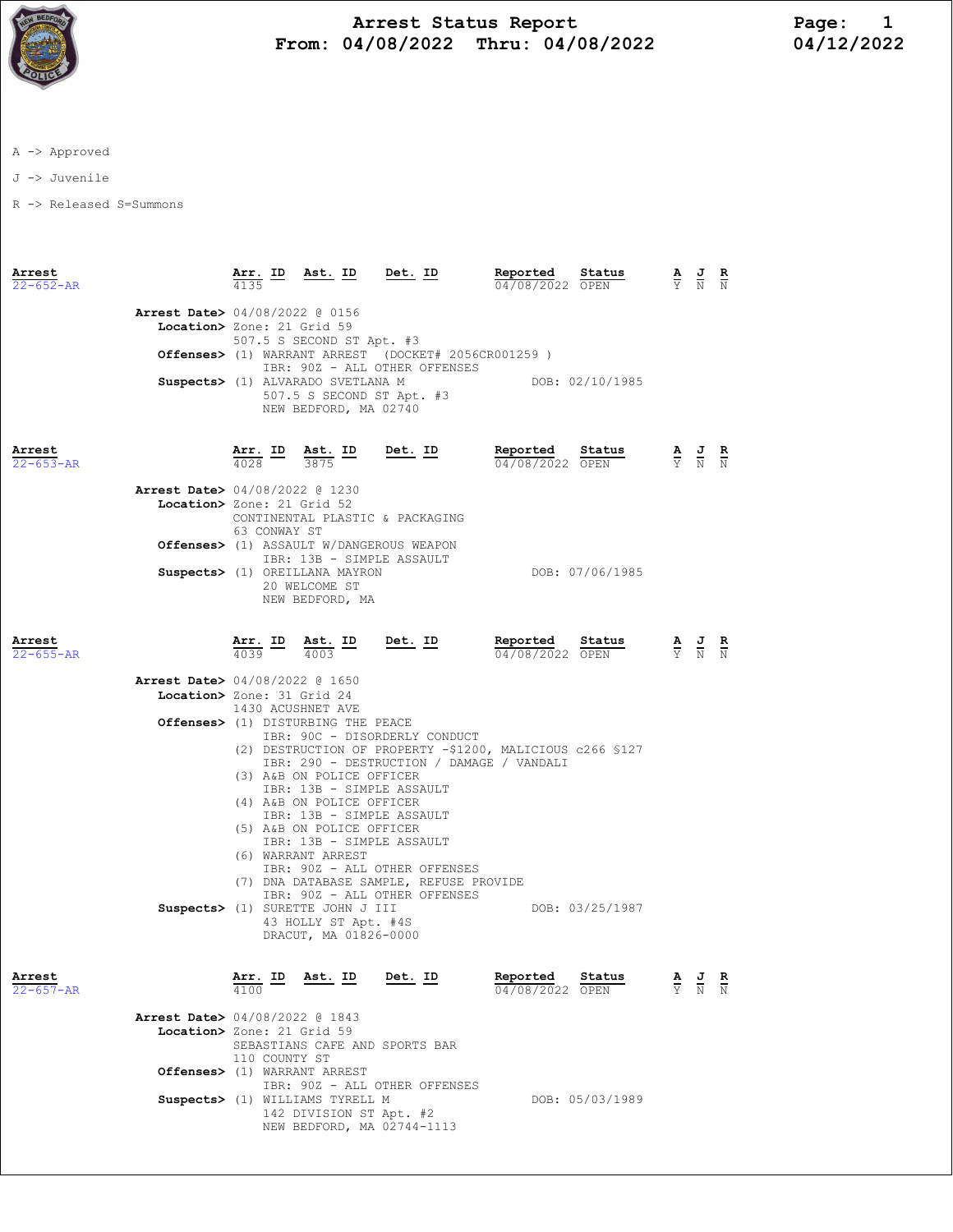

## Arrest Status Report Page: 1 From: 04/08/2022 Thru: 04/08/2022

A -> Approved

J -> Juvenile

R -> Released S=Summons

| Arrest<br>$22 - 652 - AR$ |                                                                        | Arr. ID<br>4135                                                                                            | Ast. ID                                                                           | Det. ID                                                                  | Reported<br>04/08/2022 OPEN                                                                            | Status          |  | $\frac{\mathbf{A}}{\mathbf{Y}}$ $\frac{\mathbf{J}}{\mathbf{N}}$ $\frac{\mathbf{R}}{\mathbf{N}}$ |  |
|---------------------------|------------------------------------------------------------------------|------------------------------------------------------------------------------------------------------------|-----------------------------------------------------------------------------------|--------------------------------------------------------------------------|--------------------------------------------------------------------------------------------------------|-----------------|--|-------------------------------------------------------------------------------------------------|--|
|                           | Arrest Date> 04/08/2022 @ 0156<br>Location> Zone: 21 Grid 59           |                                                                                                            | 507.5 S SECOND ST Apt. #3                                                         |                                                                          |                                                                                                        |                 |  |                                                                                                 |  |
|                           |                                                                        | Offenses> (1) WARRANT ARREST (DOCKET# 2056CR001259)<br>IBR: 90Z - ALL OTHER OFFENSES                       |                                                                                   |                                                                          |                                                                                                        |                 |  |                                                                                                 |  |
|                           |                                                                        | Suspects> (1) ALVARADO SVETLANA M<br>DOB: 02/10/1985<br>507.5 S SECOND ST Apt. #3<br>NEW BEDFORD, MA 02740 |                                                                                   |                                                                          |                                                                                                        |                 |  |                                                                                                 |  |
| Arrest<br>$22 - 653 - AR$ |                                                                        | <u>Arr. ID</u><br>4028                                                                                     | $\underline{\text{Ast.}}$ ID<br>3875                                              | <u>Det.</u> ID                                                           | Reported<br>04/08/2022 OPEN                                                                            | Status          |  | $\frac{\mathbf{A}}{\mathbf{Y}}$ $\frac{\mathbf{J}}{\mathbf{N}}$ $\frac{\mathbf{R}}{\mathbf{N}}$ |  |
|                           | <b>Arrest Date&gt;</b> 04/08/2022 @ 1230<br>Location> Zone: 21 Grid 52 | 63 CONWAY ST                                                                                               |                                                                                   | CONTINENTAL PLASTIC & PACKAGING                                          |                                                                                                        |                 |  |                                                                                                 |  |
|                           |                                                                        |                                                                                                            | IBR: 13B - SIMPLE ASSAULT<br>Suspects> (1) OREILLANA MAYRON                       | <b>Offenses&gt;</b> (1) ASSAULT W/DANGEROUS WEAPON                       |                                                                                                        | DOB: 07/06/1985 |  |                                                                                                 |  |
|                           |                                                                        |                                                                                                            | 20 WELCOME ST<br>NEW BEDFORD, MA                                                  |                                                                          |                                                                                                        |                 |  |                                                                                                 |  |
| Arrest<br>$22 - 655 - AR$ |                                                                        | $\frac{\texttt{Arr.}}{4039}$ ID<br>4039                                                                    | $\frac{\text{Ast.}}{\text{100}}$ ID<br>4003                                       | <u>Det. ID</u>                                                           | Reported<br>04/08/2022 OPEN                                                                            | Status          |  | $\frac{\mathbf{A}}{\mathbf{Y}}$ $\frac{\mathbf{J}}{\mathbf{N}}$ $\frac{\mathbf{R}}{\mathbf{N}}$ |  |
|                           | Arrest Date> 04/08/2022 @ 1650<br>Location> Zone: 31 Grid 24           |                                                                                                            |                                                                                   |                                                                          |                                                                                                        |                 |  |                                                                                                 |  |
|                           |                                                                        |                                                                                                            | 1430 ACUSHNET AVE                                                                 |                                                                          |                                                                                                        |                 |  |                                                                                                 |  |
|                           |                                                                        |                                                                                                            | Offenses> (1) DISTURBING THE PEACE                                                | IBR: 90C - DISORDERLY CONDUCT                                            |                                                                                                        |                 |  |                                                                                                 |  |
|                           |                                                                        |                                                                                                            |                                                                                   |                                                                          | (2) DESTRUCTION OF PROPERTY -\$1200, MALICIOUS c266 \$127<br>IBR: 290 - DESTRUCTION / DAMAGE / VANDALI |                 |  |                                                                                                 |  |
|                           |                                                                        |                                                                                                            | (3) A&B ON POLICE OFFICER                                                         |                                                                          |                                                                                                        |                 |  |                                                                                                 |  |
|                           |                                                                        |                                                                                                            | IBR: 13B - SIMPLE ASSAULT<br>(4) A&B ON POLICE OFFICER                            |                                                                          |                                                                                                        |                 |  |                                                                                                 |  |
|                           |                                                                        |                                                                                                            | IBR: 13B - SIMPLE ASSAULT<br>(5) A&B ON POLICE OFFICER                            |                                                                          |                                                                                                        |                 |  |                                                                                                 |  |
|                           |                                                                        |                                                                                                            | IBR: 13B - SIMPLE ASSAULT                                                         |                                                                          |                                                                                                        |                 |  |                                                                                                 |  |
|                           |                                                                        |                                                                                                            | (6) WARRANT ARREST                                                                | IBR: 90Z - ALL OTHER OFFENSES                                            |                                                                                                        |                 |  |                                                                                                 |  |
|                           |                                                                        |                                                                                                            |                                                                                   | (7) DNA DATABASE SAMPLE, REFUSE PROVIDE<br>IBR: 90Z - ALL OTHER OFFENSES |                                                                                                        |                 |  |                                                                                                 |  |
|                           |                                                                        |                                                                                                            | Suspects> (1) SURETTE JOHN J III<br>43 HOLLY ST Apt. #4S<br>DRACUT, MA 01826-0000 |                                                                          |                                                                                                        | DOB: 03/25/1987 |  |                                                                                                 |  |
| Arrest<br>$22 - 657 - AR$ |                                                                        | <u>Arr. ID</u>                                                                                             | <u>Ast. ID</u>                                                                    | <u>Det. ID</u>                                                           | Reported<br>04/08/2022 OPEN                                                                            | Status          |  | $\frac{J}{N}$                                                                                   |  |
|                           |                                                                        |                                                                                                            |                                                                                   |                                                                          |                                                                                                        |                 |  |                                                                                                 |  |
|                           | Arrest Date> 04/08/2022 @ 1843<br>Location> Zone: 21 Grid 59           | 110 COUNTY ST                                                                                              |                                                                                   | SEBASTIANS CAFE AND SPORTS BAR                                           |                                                                                                        |                 |  |                                                                                                 |  |
|                           |                                                                        |                                                                                                            | Offenses> (1) WARRANT ARREST                                                      |                                                                          |                                                                                                        |                 |  |                                                                                                 |  |
|                           |                                                                        |                                                                                                            | Suspects> (1) WILLIAMS TYRELL M                                                   | IBR: 90Z - ALL OTHER OFFENSES                                            |                                                                                                        | DOB: 05/03/1989 |  |                                                                                                 |  |
|                           |                                                                        |                                                                                                            | 142 DIVISION ST Apt. #2                                                           | NEW BEDFORD, MA 02744-1113                                               |                                                                                                        |                 |  |                                                                                                 |  |